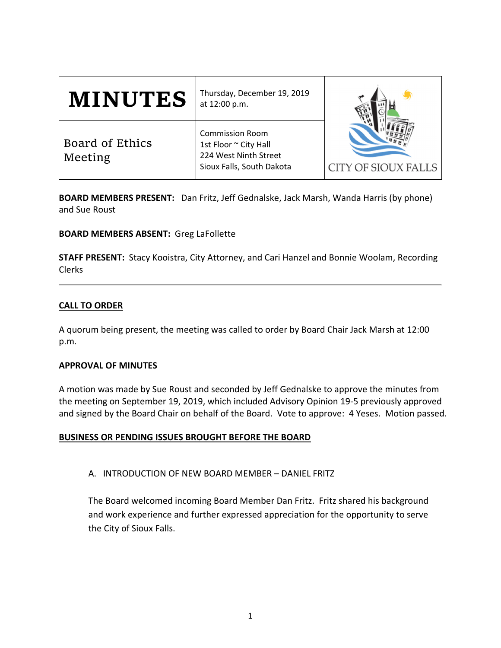| <b>MINUTES</b>             | Thursday, December 19, 2019<br>at 12:00 p.m.                                                          |                            |
|----------------------------|-------------------------------------------------------------------------------------------------------|----------------------------|
| Board of Ethics<br>Meeting | <b>Commission Room</b><br>1st Floor ~ City Hall<br>224 West Ninth Street<br>Sioux Falls, South Dakota | <b>CITY OF SIOUX FALLS</b> |

**BOARD MEMBERS PRESENT:** Dan Fritz, Jeff Gednalske, Jack Marsh, Wanda Harris (by phone) and Sue Roust

## **BOARD MEMBERS ABSENT:** Greg LaFollette

**STAFF PRESENT:** Stacy Kooistra, City Attorney, and Cari Hanzel and Bonnie Woolam, Recording Clerks

## **CALL TO ORDER**

A quorum being present, the meeting was called to order by Board Chair Jack Marsh at 12:00 p.m.

### **APPROVAL OF MINUTES**

A motion was made by Sue Roust and seconded by Jeff Gednalske to approve the minutes from the meeting on September 19, 2019, which included Advisory Opinion 19‐5 previously approved and signed by the Board Chair on behalf of the Board. Vote to approve: 4 Yeses. Motion passed.

### **BUSINESS OR PENDING ISSUES BROUGHT BEFORE THE BOARD**

A. INTRODUCTION OF NEW BOARD MEMBER – DANIEL FRITZ

The Board welcomed incoming Board Member Dan Fritz. Fritz shared his background and work experience and further expressed appreciation for the opportunity to serve the City of Sioux Falls.